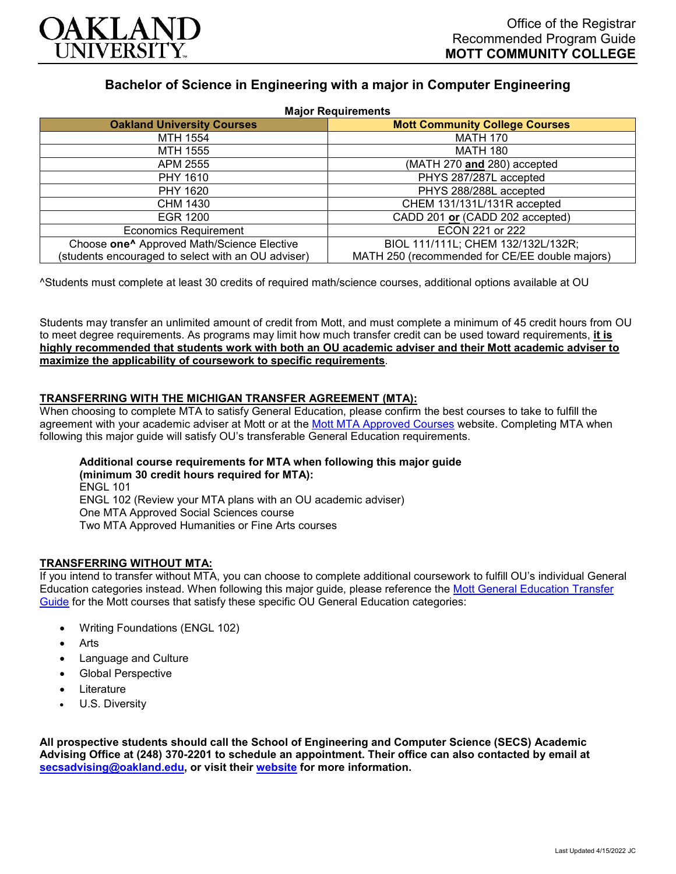

# **Bachelor of Science in Engineering with a major in Computer Engineering**

| <b>Major Requirements</b>                              |                                                |
|--------------------------------------------------------|------------------------------------------------|
| <b>Oakland University Courses</b>                      | <b>Mott Community College Courses</b>          |
| MTH 1554                                               | <b>MATH 170</b>                                |
| MTH 1555                                               | <b>MATH 180</b>                                |
| APM 2555                                               | (MATH 270 and 280) accepted                    |
| PHY 1610                                               | PHYS 287/287L accepted                         |
| PHY 1620                                               | PHYS 288/288L accepted                         |
| CHM 1430                                               | CHEM 131/131L/131R accepted                    |
| EGR 1200                                               | CADD 201 or (CADD 202 accepted)                |
| <b>Economics Requirement</b>                           | ECON 221 or 222                                |
| Choose one <sup>^</sup> Approved Math/Science Elective | BIOL 111/111L; CHEM 132/132L/132R;             |
| (students encouraged to select with an OU adviser)     | MATH 250 (recommended for CE/EE double majors) |

^Students must complete at least 30 credits of required math/science courses, additional options available at OU

Students may transfer an unlimited amount of credit from Mott, and must complete a minimum of 45 credit hours from OU to meet degree requirements. As programs may limit how much transfer credit can be used toward requirements, **it is highly recommended that students work with both an OU academic adviser and their Mott academic adviser to maximize the applicability of coursework to specific requirements**.

### **TRANSFERRING WITH THE MICHIGAN TRANSFER AGREEMENT (MTA):**

When choosing to complete MTA to satisfy General Education, please confirm the best courses to take to fulfill the agreement with your academic adviser at Mott or at the [Mott MTA Approved Courses](https://www.mcc.edu/counseling_student_dev/casd_mi_transfer_agreement.shtml) website. Completing MTA when following this major guide will satisfy OU's transferable General Education requirements.

#### **Additional course requirements for MTA when following this major guide (minimum 30 credit hours required for MTA):** ENGL 101 ENGL 102 (Review your MTA plans with an OU academic adviser) One MTA Approved Social Sciences course Two MTA Approved Humanities or Fine Arts courses

### **TRANSFERRING WITHOUT MTA:**

If you intend to transfer without MTA, you can choose to complete additional coursework to fulfill OU's individual General Education categories instead. When following this major guide, please reference the [Mott General Education Transfer](https://www.oakland.edu/Assets/Oakland/program-guides/mott-community-college/university-general-education-requirements/Mott%20Gen%20Ed.pdf)  [Guide](https://www.oakland.edu/Assets/Oakland/program-guides/mott-community-college/university-general-education-requirements/Mott%20Gen%20Ed.pdf) for the Mott courses that satisfy these specific OU General Education categories:

- Writing Foundations (ENGL 102)
- Arts
- Language and Culture
- Global Perspective
- **Literature**
- U.S. Diversity

**All prospective students should call the School of Engineering and Computer Science (SECS) Academic Advising Office at (248) 370-2201 to schedule an appointment. Their office can also contacted by email at [secsadvising@oakland.edu,](mailto:secsadvising@oakland.edu) or visit their [website](https://wwwp.oakland.edu/secs/advising/) for more information.**